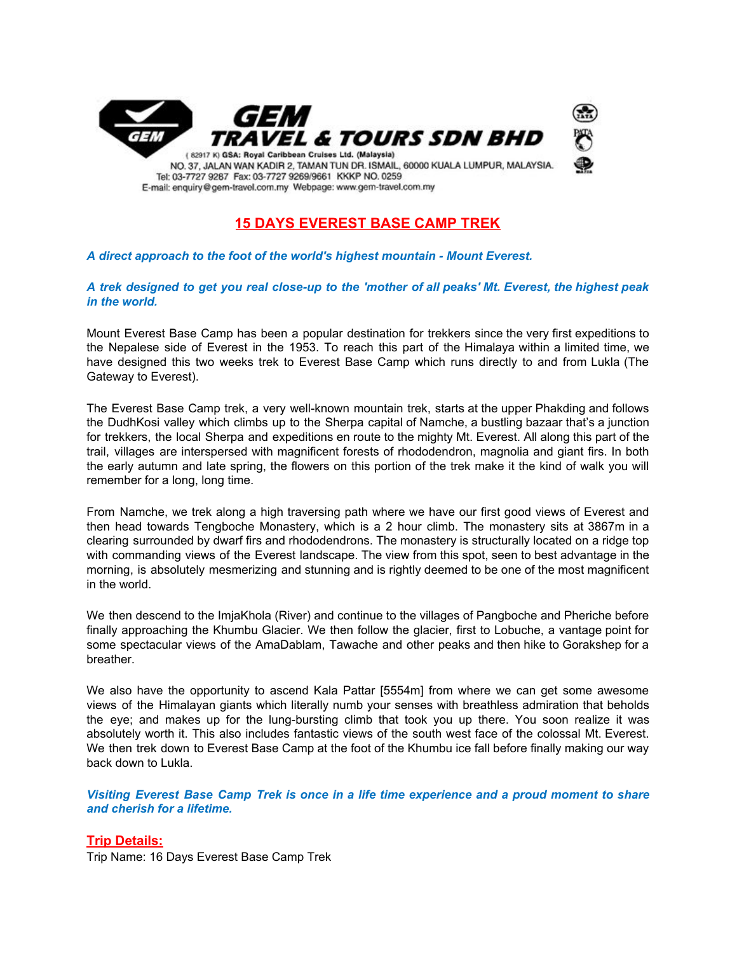

# **15 DAYS EVEREST BASE CAMP TREK**

#### *A direct approach to the foot of the world's highest mountain - Mount Everest.*

#### A trek designed to get you real close-up to the 'mother of all peaks' Mt. Everest, the highest peak *in the world.*

Mount Everest Base Camp has been a popular destination for trekkers since the very first expeditions to the Nepalese side of Everest in the 1953. To reach this part of the Himalaya within a limited time, we have designed this two weeks trek to Everest Base Camp which runs directly to and from Lukla (The Gateway to Everest).

The Everest Base Camp trek, a very well-known mountain trek, starts at the upper Phakding and follows the DudhKosi valley which climbs up to the Sherpa capital of Namche, a bustling bazaar that's a junction for trekkers, the local Sherpa and expeditions en route to the mighty Mt. Everest. All along this part of the trail, villages are interspersed with magnificent forests of rhododendron, magnolia and giant firs. In both the early autumn and late spring, the flowers on this portion of the trek make it the kind of walk you will remember for a long, long time.

From Namche, we trek along a high traversing path where we have our first good views of Everest and then head towards Tengboche Monastery, which is a 2 hour climb. The monastery sits at 3867m in a clearing surrounded by dwarf firs and rhododendrons. The monastery is structurally located on a ridge top with commanding views of the Everest landscape. The view from this spot, seen to best advantage in the morning, is absolutely mesmerizing and stunning and is rightly deemed to be one of the most magnificent in the world.

We then descend to the ImjaKhola (River) and continue to the villages of Pangboche and Pheriche before finally approaching the Khumbu Glacier. We then follow the glacier, first to Lobuche, a vantage point for some spectacular views of the AmaDablam, Tawache and other peaks and then hike to Gorakshep for a breather.

We also have the opportunity to ascend Kala Pattar [5554m] from where we can get some awesome views of the Himalayan giants which literally numb your senses with breathless admiration that beholds the eye; and makes up for the lung-bursting climb that took you up there. You soon realize it was absolutely worth it. This also includes fantastic views of the south west face of the colossal Mt. Everest. We then trek down to Everest Base Camp at the foot of the Khumbu ice fall before finally making our way back down to Lukla.

*Visiting Everest Base Camp Trek is once in a life time experience and a proud moment to share and cherish for a lifetime.*

#### **Trip Details:**

Trip Name: 16 Days Everest Base Camp Trek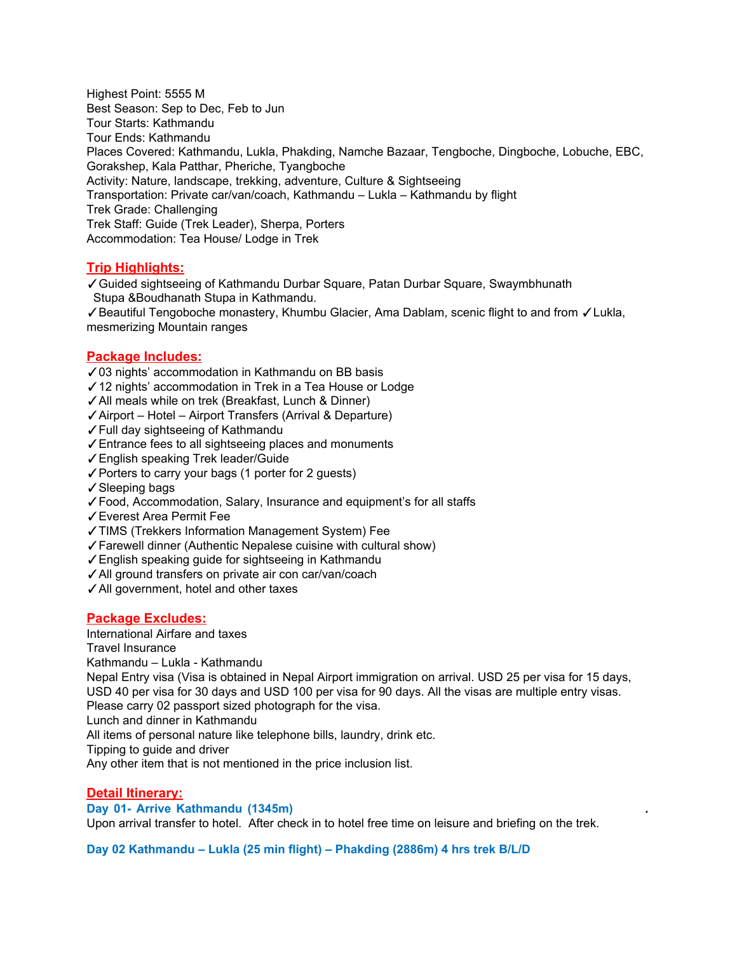Highest Point: 5555 M Best Season: Sep to Dec, Feb to Jun Tour Starts: Kathmandu Tour Ends: Kathmandu Places Covered: Kathmandu, Lukla, Phakding, Namche Bazaar, Tengboche, Dingboche, Lobuche, EBC, Gorakshep, Kala Patthar, Pheriche, Tyangboche Activity: Nature, landscape, trekking, adventure, Culture & Sightseeing Transportation: Private car/van/coach, Kathmandu – Lukla – Kathmandu by flight Trek Grade: Challenging Trek Staff: Guide (Trek Leader), Sherpa, Porters Accommodation: Tea House/ Lodge in Trek

### **Trip Highlights:**

✓Guided sightseeing of Kathmandu Durbar Square, Patan Durbar Square, Swaymbhunath Stupa &Boudhanath Stupa in Kathmandu.

✓Beautiful Tengoboche monastery, Khumbu Glacier, Ama Dablam, scenic flight to and from ✓Lukla, mesmerizing Mountain ranges

#### **Package Includes:**

✓03 nights' accommodation in Kathmandu on BB basis

- ✓12 nights' accommodation in Trek in a Tea House or Lodge
- ✓All meals while on trek (Breakfast, Lunch & Dinner)
- ✓Airport Hotel Airport Transfers (Arrival & Departure)
- ✓Full day sightseeing of Kathmandu
- ✓Entrance fees to all sightseeing places and monuments
- ✓English speaking Trek leader/Guide
- ✓Porters to carry your bags (1 porter for 2 guests)
- ✓Sleeping bags
- ✓Food, Accommodation, Salary, Insurance and equipment's for all staffs
- ✓Everest Area Permit Fee
- ✓TIMS (Trekkers Information Management System) Fee
- ✓Farewell dinner (Authentic Nepalese cuisine with cultural show)
- ✓English speaking guide for sightseeing in Kathmandu
- ✓All ground transfers on private air con car/van/coach
- ✓All government, hotel and other taxes

#### **Package Excludes:**

International Airfare and taxes

Travel Insurance

Kathmandu – Lukla - Kathmandu

Nepal Entry visa (Visa is obtained in Nepal Airport immigration on arrival. USD 25 per visa for 15 days, USD 40 per visa for 30 days and USD 100 per visa for 90 days. All the visas are multiple entry visas. Please carry 02 passport sized photograph for the visa.

Lunch and dinner in Kathmandu

All items of personal nature like telephone bills, laundry, drink etc.

Tipping to guide and driver

Any other item that is not mentioned in the price inclusion list.

#### **Detail Itinerary:**

#### **Day 01- Arrive Kathmandu (1345m) .**

Upon arrival transfer to hotel. After check in to hotel free time on leisure and briefing on the trek.

**Day 02 Kathmandu – Lukla (25 min flight) – Phakding (2886m) 4 hrs trek B/L/D**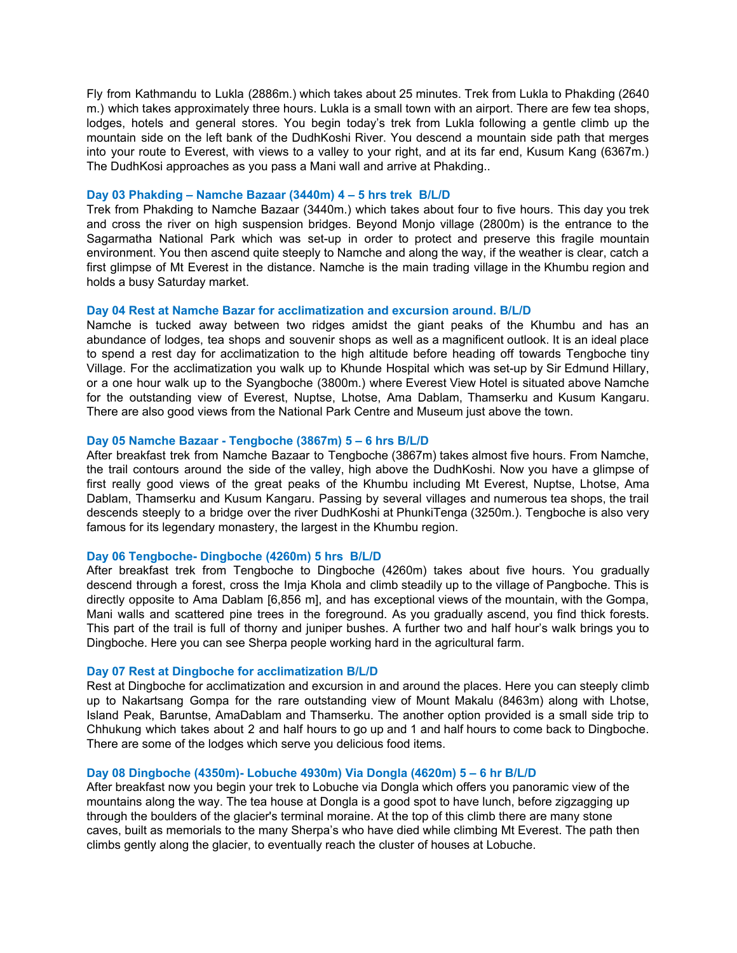Fly from Kathmandu to Lukla (2886m.) which takes about 25 minutes. Trek from Lukla to Phakding (2640 m.) which takes approximately three hours. Lukla is a small town with an airport. There are few tea shops, lodges, hotels and general stores. You begin today's trek from Lukla following a gentle climb up the mountain side on the left bank of the DudhKoshi River. You descend a mountain side path that merges into your route to Everest, with views to a valley to your right, and at its far end, Kusum Kang (6367m.) The DudhKosi approaches as you pass a Mani wall and arrive at Phakding..

#### **Day 03 Phakding – Namche Bazaar (3440m) 4 – 5 hrs trek B/L/D**

Trek from Phakding to Namche Bazaar (3440m.) which takes about four to five hours. This day you trek and cross the river on high suspension bridges. Beyond Monjo village (2800m) is the entrance to the Sagarmatha National Park which was set-up in order to protect and preserve this fragile mountain environment. You then ascend quite steeply to Namche and along the way, if the weather is clear, catch a first glimpse of Mt Everest in the distance. Namche is the main trading village in the Khumbu region and holds a busy Saturday market.

#### **Day 04 Rest at Namche Bazar for acclimatization and excursion around. B/L/D**

Namche is tucked away between two ridges amidst the giant peaks of the Khumbu and has an abundance of lodges, tea shops and souvenir shops as well as a magnificent outlook. It is an ideal place to spend a rest day for acclimatization to the high altitude before heading off towards Tengboche tiny Village. For the acclimatization you walk up to Khunde Hospital which was set-up by Sir Edmund Hillary, or a one hour walk up to the Syangboche (3800m.) where Everest View Hotel is situated above Namche for the outstanding view of Everest, Nuptse, Lhotse, Ama Dablam, Thamserku and Kusum Kangaru. There are also good views from the National Park Centre and Museum just above the town.

#### **Day 05 Namche Bazaar - Tengboche (3867m) 5 – 6 hrs B/L/D**

After breakfast trek from Namche Bazaar to Tengboche (3867m) takes almost five hours. From Namche, the trail contours around the side of the valley, high above the DudhKoshi. Now you have a glimpse of first really good views of the great peaks of the Khumbu including Mt Everest, Nuptse, Lhotse, Ama Dablam, Thamserku and Kusum Kangaru. Passing by several villages and numerous tea shops, the trail descends steeply to a bridge over the river DudhKoshi at PhunkiTenga (3250m.). Tengboche is also very famous for its legendary monastery, the largest in the Khumbu region.

#### **Day 06 Tengboche- Dingboche (4260m) 5 hrs B/L/D**

After breakfast trek from Tengboche to Dingboche (4260m) takes about five hours. You gradually descend through a forest, cross the Imja Khola and climb steadily up to the village of Pangboche. This is directly opposite to Ama Dablam [6,856 m], and has exceptional views of the mountain, with the Gompa, Mani walls and scattered pine trees in the foreground. As you gradually ascend, you find thick forests. This part of the trail is full of thorny and juniper bushes. A further two and half hour's walk brings you to Dingboche. Here you can see Sherpa people working hard in the agricultural farm.

#### **Day 07 Rest at Dingboche for acclimatization B/L/D**

Rest at Dingboche for acclimatization and excursion in and around the places. Here you can steeply climb up to Nakartsang Gompa for the rare outstanding view of Mount Makalu (8463m) along with Lhotse, Island Peak, Baruntse, AmaDablam and Thamserku. The another option provided is a small side trip to Chhukung which takes about 2 and half hours to go up and 1 and half hours to come back to Dingboche. There are some of the lodges which serve you delicious food items.

#### **Day 08 Dingboche (4350m)- Lobuche 4930m) Via Dongla (4620m) 5 – 6 hr B/L/D**

After breakfast now you begin your trek to Lobuche via Dongla which offers you panoramic view of the mountains along the way. The tea house at Dongla is a good spot to have lunch, before zigzagging up through the boulders of the glacier's terminal moraine. At the top of this climb there are many stone caves, built as memorials to the many Sherpa's who have died while climbing Mt Everest. The path then climbs gently along the glacier, to eventually reach the cluster of houses at Lobuche.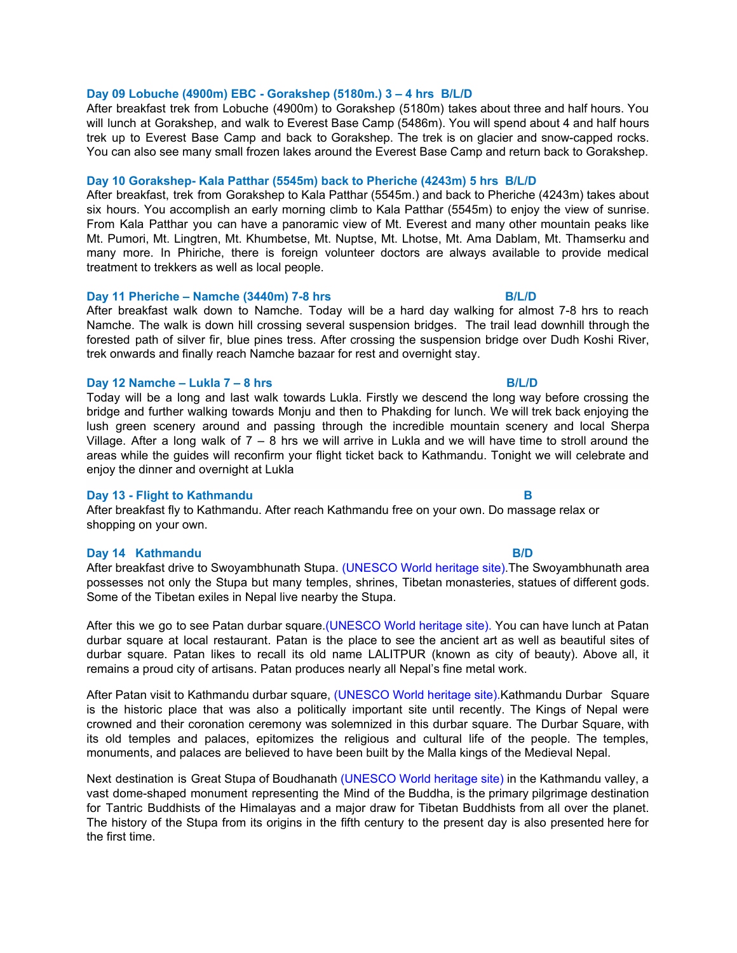#### **Day 09 Lobuche (4900m) EBC - Gorakshep (5180m.) 3 – 4 hrs B/L/D**

After breakfast trek from Lobuche (4900m) to Gorakshep (5180m) takes about three and half hours. You will lunch at Gorakshep, and walk to Everest Base Camp (5486m). You will spend about 4 and half hours trek up to Everest Base Camp and back to Gorakshep. The trek is on glacier and snow-capped rocks. You can also see many small frozen lakes around the Everest Base Camp and return back to Gorakshep.

#### **Day 10 Gorakshep- Kala Patthar (5545m) back to Pheriche (4243m) 5 hrs B/L/D**

After breakfast, trek from Gorakshep to Kala Patthar (5545m.) and back to Pheriche (4243m) takes about six hours. You accomplish an early morning climb to Kala Patthar (5545m) to enjoy the view of sunrise. From Kala Patthar you can have a panoramic view of Mt. Everest and many other mountain peaks like Mt. Pumori, Mt. Lingtren, Mt. Khumbetse, Mt. Nuptse, Mt. Lhotse, Mt. Ama Dablam, Mt. Thamserku and many more. In Phiriche, there is foreign volunteer doctors are always available to provide medical treatment to trekkers as well as local people.

### **Day 11 Pheriche – Namche (3440m) 7-8 hrs B/L/D**

After breakfast walk down to Namche. Today will be a hard day walking for almost 7-8 hrs to reach Namche. The walk is down hill crossing several suspension bridges. The trail lead downhill through the forested path of silver fir, blue pines tress. After crossing the suspension bridge over Dudh Koshi River, trek onwards and finally reach Namche bazaar for rest and overnight stay.

### **Day 12 Namche – Lukla 7 – 8 hrs B/L/D**

Today will be a long and last walk towards Lukla. Firstly we descend the long way before crossing the bridge and further walking towards Monju and then to Phakding for lunch. We will trek back enjoying the lush green scenery around and passing through the incredible mountain scenery and local Sherpa Village. After a long walk of  $7 - 8$  hrs we will arrive in Lukla and we will have time to stroll around the areas while the guides will reconfirm your flight ticket back to Kathmandu. Tonight we will celebrate and enjoy the dinner and overnight at Lukla

#### **Day 13 - Flight to Kathmandu B**

After breakfast fly to Kathmandu. After reach Kathmandu free on your own. Do massage relax or shopping on your own.

#### **Day 14 Kathmandu B/D**

After breakfast drive to Swoyambhunath Stupa. (UNESCO World heritage site).The Swoyambhunath area possesses not only the Stupa but many temples, shrines, Tibetan monasteries, statues of different gods. Some of the Tibetan exiles in Nepal live nearby the Stupa.

After this we go to see Patan durbar square.(UNESCO World heritage site). You can have lunch at Patan durbar square at local restaurant. Patan is the place to see the ancient art as well as beautiful sites of durbar square. Patan likes to recall its old name LALITPUR (known as city of beauty). Above all, it remains a proud city of artisans. Patan produces nearly all Nepal's fine metal work.

After Patan visit to Kathmandu durbar square, (UNESCO World heritage site).Kathmandu Durbar Square is the historic place that was also a politically important site until recently. The Kings of Nepal were crowned and their coronation ceremony was solemnized in this durbar square. The Durbar Square, with its old temples and palaces, epitomizes the religious and cultural life of the people. The temples, monuments, and palaces are believed to have been built by the Malla kings of the Medieval Nepal.

Next destination is Great Stupa of Boudhanath (UNESCO World heritage site) in the Kathmandu valley, a vast dome-shaped monument representing the Mind of the Buddha, is the primary pilgrimage destination for Tantric Buddhists of the Himalayas and a major draw for Tibetan Buddhists from all over the planet. The history of the Stupa from its origins in the fifth century to the present day is also presented here for the first time.